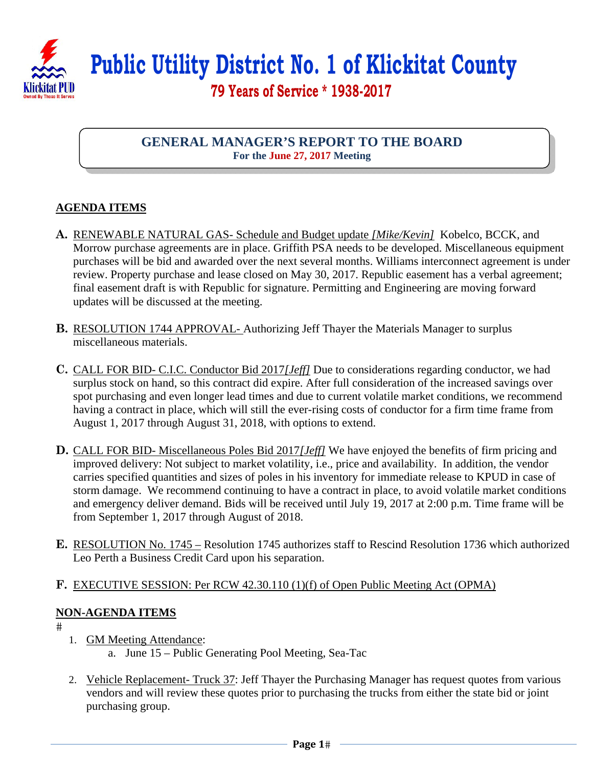

 **Public Utility District No. 1 of Klickitat County 79 Years of Service \* 1938-2017** 

## **GENERAL MANAGER'S REPORT TO THE BOARD For the June 27, 2017 Meeting**

## **AGENDA ITEMS**

- **A.** RENEWABLE NATURAL GAS- Schedule and Budget update *[Mike/Kevin]* Kobelco, BCCK, and Morrow purchase agreements are in place. Griffith PSA needs to be developed. Miscellaneous equipment purchases will be bid and awarded over the next several months. Williams interconnect agreement is under review. Property purchase and lease closed on May 30, 2017. Republic easement has a verbal agreement; final easement draft is with Republic for signature. Permitting and Engineering are moving forward updates will be discussed at the meeting.
- **B.** RESOLUTION 1744 APPROVAL- Authorizing Jeff Thayer the Materials Manager to surplus miscellaneous materials.
- **C.** CALL FOR BID- C.I.C. Conductor Bid 2017*[Jeff]* Due to considerations regarding conductor, we had surplus stock on hand, so this contract did expire. After full consideration of the increased savings over spot purchasing and even longer lead times and due to current volatile market conditions, we recommend having a contract in place, which will still the ever-rising costs of conductor for a firm time frame from August 1, 2017 through August 31, 2018, with options to extend.
- **D.** CALL FOR BID- Miscellaneous Poles Bid 2017*[Jeff]* We have enjoyed the benefits of firm pricing and improved delivery: Not subject to market volatility, i.e., price and availability. In addition, the vendor carries specified quantities and sizes of poles in his inventory for immediate release to KPUD in case of storm damage. We recommend continuing to have a contract in place, to avoid volatile market conditions and emergency deliver demand. Bids will be received until July 19, 2017 at 2:00 p.m. Time frame will be from September 1, 2017 through August of 2018.
- **E.** RESOLUTION No. 1745 Resolution 1745 authorizes staff to Rescind Resolution 1736 which authorized Leo Perth a Business Credit Card upon his separation.
- **F.** EXECUTIVE SESSION: Per RCW 42.30.110 (1)(f) of Open Public Meeting Act (OPMA)

## **NON-AGENDA ITEMS**

#

- 1. GM Meeting Attendance:
	- a. June 15 Public Generating Pool Meeting, Sea-Tac
- 2. Vehicle Replacement- Truck 37: Jeff Thayer the Purchasing Manager has request quotes from various vendors and will review these quotes prior to purchasing the trucks from either the state bid or joint purchasing group.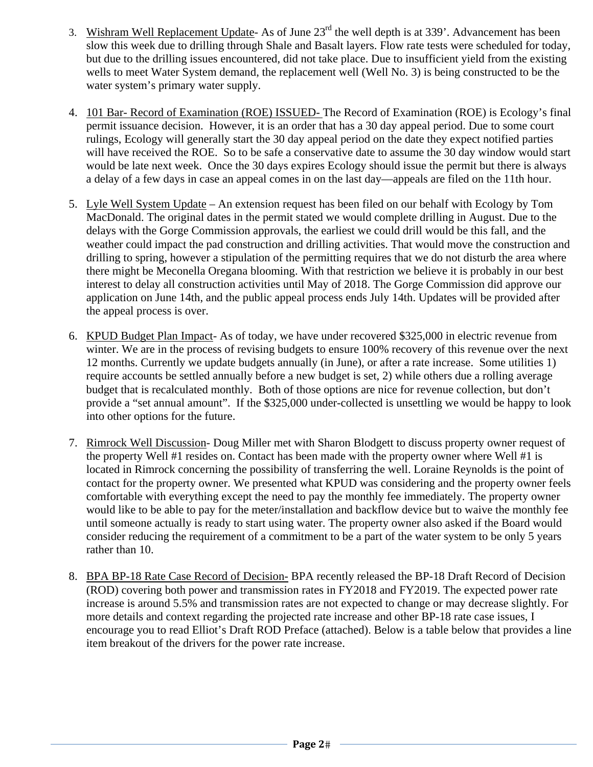- 3. Wishram Well Replacement Update- As of June  $23<sup>rd</sup>$  the well depth is at 339'. Advancement has been slow this week due to drilling through Shale and Basalt layers. Flow rate tests were scheduled for today, but due to the drilling issues encountered, did not take place. Due to insufficient yield from the existing wells to meet Water System demand, the replacement well (Well No. 3) is being constructed to be the water system's primary water supply.
- 4. 101 Bar- Record of Examination (ROE) ISSUED- The Record of Examination (ROE) is Ecology's final permit issuance decision. However, it is an order that has a 30 day appeal period. Due to some court rulings, Ecology will generally start the 30 day appeal period on the date they expect notified parties will have received the ROE. So to be safe a conservative date to assume the 30 day window would start would be late next week. Once the 30 days expires Ecology should issue the permit but there is always a delay of a few days in case an appeal comes in on the last day—appeals are filed on the 11th hour.
- 5. Lyle Well System Update An extension request has been filed on our behalf with Ecology by Tom MacDonald. The original dates in the permit stated we would complete drilling in August. Due to the delays with the Gorge Commission approvals, the earliest we could drill would be this fall, and the weather could impact the pad construction and drilling activities. That would move the construction and drilling to spring, however a stipulation of the permitting requires that we do not disturb the area where there might be Meconella Oregana blooming. With that restriction we believe it is probably in our best interest to delay all construction activities until May of 2018. The Gorge Commission did approve our application on June 14th, and the public appeal process ends July 14th. Updates will be provided after the appeal process is over.
- 6. KPUD Budget Plan Impact- As of today, we have under recovered \$325,000 in electric revenue from winter. We are in the process of revising budgets to ensure 100% recovery of this revenue over the next 12 months. Currently we update budgets annually (in June), or after a rate increase. Some utilities 1) require accounts be settled annually before a new budget is set, 2) while others due a rolling average budget that is recalculated monthly. Both of those options are nice for revenue collection, but don't provide a "set annual amount". If the \$325,000 under-collected is unsettling we would be happy to look into other options for the future.
- 7. Rimrock Well Discussion- Doug Miller met with Sharon Blodgett to discuss property owner request of the property Well #1 resides on. Contact has been made with the property owner where Well #1 is located in Rimrock concerning the possibility of transferring the well. Loraine Reynolds is the point of contact for the property owner. We presented what KPUD was considering and the property owner feels comfortable with everything except the need to pay the monthly fee immediately. The property owner would like to be able to pay for the meter/installation and backflow device but to waive the monthly fee until someone actually is ready to start using water. The property owner also asked if the Board would consider reducing the requirement of a commitment to be a part of the water system to be only 5 years rather than 10.
- 8. BPA BP-18 Rate Case Record of Decision- BPA recently released the BP-18 Draft Record of Decision (ROD) covering both power and transmission rates in FY2018 and FY2019. The expected power rate increase is around 5.5% and transmission rates are not expected to change or may decrease slightly. For more details and context regarding the projected rate increase and other BP-18 rate case issues, I encourage you to read Elliot's Draft ROD Preface (attached). Below is a table below that provides a line item breakout of the drivers for the power rate increase.